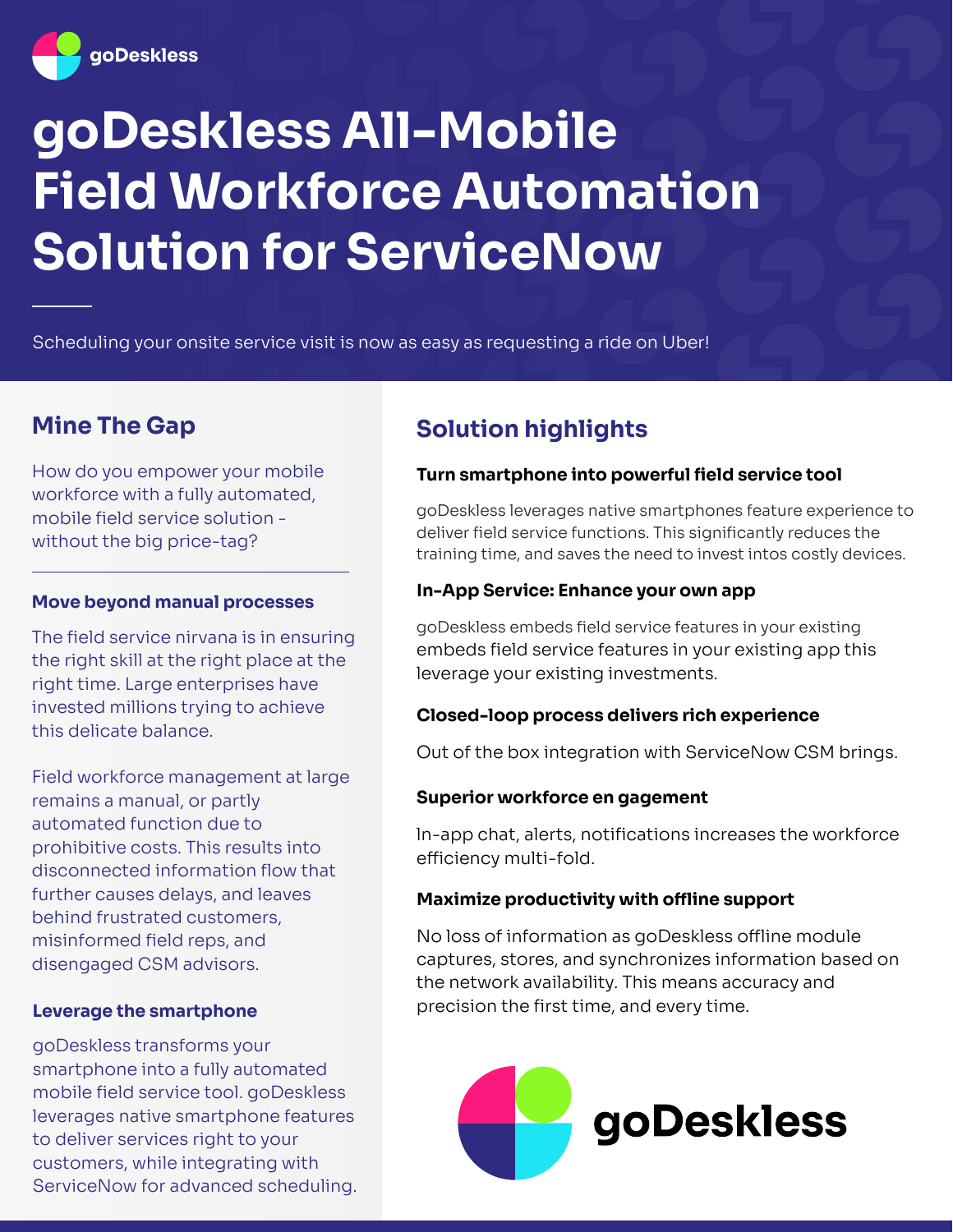

# **goDeskless All-Mobile Field Workforce Automation Solution for ServiceNow**

Scheduling your onsite service visit is now as easy as requesting a ride on Uber!

How do you empower your mobile workforce with a fully automated, mobile field service solution without the big price-tag?

#### **Move beyond manual processes**

The field service nirvana is in ensuring the right skill at the right place at the right time. Large enterprises have invested millions trying to achieve this delicate balance.

Field workforce management at large remains a manual, or partly automated function due to prohibitive costs. This results into disconnected information flow that further causes delays, and leaves behind frustrated customers, misinformed field reps, and disengaged CSM advisors.

#### **Leverage the smartphone**

goDeskless transforms your smartphone into a fully automated mobile field service tool. goDeskless leverages native smartphone features to deliver services right to your customers, while integrating with ServiceNow for advanced scheduling.

# **Mine The Gap Solution highlights**

#### **Turn smartphone into powerful field service tool**

goDeskless leverages native smartphones feature experience to deliver field service functions. This significantly reduces the training time, and saves the need to invest intos costly devices.

#### **In-App Service: Enhance your own app**

goDeskless embeds field service features in your existing embeds field service features in your existing app this leverage your existing investments.

#### **Closed-loop process delivers rich experience**

Out of the box integration with ServiceNow CSM brings.

#### **Superior workforce en gagement**

ln-app chat, alerts, notifications increases the workforce efficiency multi-fold.

#### **Maximize productivity with offline support**

No loss of information as goDeskless offline module captures, stores, and synchronizes information based on the network availability. This means accuracy and precision the first time, and every time.